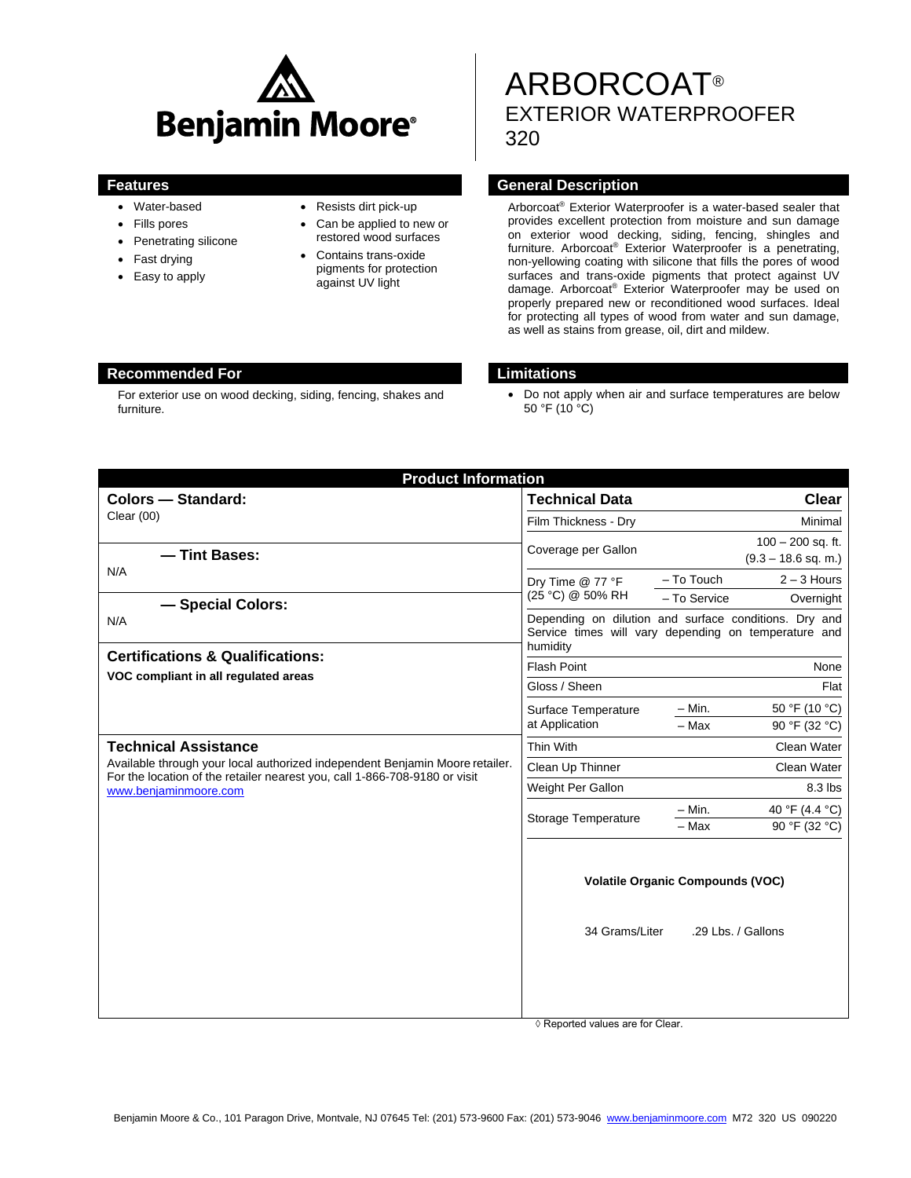

- Water-based
- Fills pores
- Penetrating silicone
- Fast drying
- Easy to apply
- Resists dirt pick-up
- Can be applied to new or restored wood surfaces
- Contains trans-oxide pigments for protection against UV light

# ARBORCOAT® EXTERIOR WATERPROOFER 320

### **Features General Description**

Arborcoat® Exterior Waterproofer is a water-based sealer that provides excellent protection from moisture and sun damage on exterior wood decking, siding, fencing, shingles and furniture. Arborcoat® Exterior Waterproofer is a penetrating, non-yellowing coating with silicone that fills the pores of wood surfaces and trans-oxide pigments that protect against UV damage. Arborcoat® Exterior Waterproofer may be used on properly prepared new or reconditioned wood surfaces. Ideal for protecting all types of wood from water and sun damage, as well as stains from grease, oil, dirt and mildew.

#### **Recommended For Limitations**

For exterior use on wood decking, siding, fencing, shakes and furniture.

 Do not apply when air and surface temperatures are below 50 °F (10 °C)

| <b>Product Information</b>                                                                                                                                                                                         |                                       |                                                                                                               |
|--------------------------------------------------------------------------------------------------------------------------------------------------------------------------------------------------------------------|---------------------------------------|---------------------------------------------------------------------------------------------------------------|
| <b>Colors - Standard:</b>                                                                                                                                                                                          | <b>Technical Data</b>                 | <b>Clear</b>                                                                                                  |
| Clear $(00)$                                                                                                                                                                                                       | Film Thickness - Dry                  | Minimal                                                                                                       |
|                                                                                                                                                                                                                    | Coverage per Gallon                   | $100 - 200$ sq. ft.                                                                                           |
| - Tint Bases:<br>N/A                                                                                                                                                                                               |                                       | $(9.3 - 18.6$ sq. m.)                                                                                         |
| - Special Colors:                                                                                                                                                                                                  | Dry Time @ 77 °F<br>(25 °C) @ 50% RH  | - To Touch<br>$2 - 3$ Hours                                                                                   |
|                                                                                                                                                                                                                    |                                       | - To Service<br>Overnight                                                                                     |
| N/A                                                                                                                                                                                                                | humidity                              | Depending on dilution and surface conditions. Dry and<br>Service times will vary depending on temperature and |
| <b>Certifications &amp; Qualifications:</b><br>VOC compliant in all regulated areas                                                                                                                                | <b>Flash Point</b>                    | None                                                                                                          |
|                                                                                                                                                                                                                    | Gloss / Sheen                         | Flat                                                                                                          |
|                                                                                                                                                                                                                    | Surface Temperature<br>at Application | $-$ Min.<br>50 °F (10 °C)<br>$-$ Max<br>90 °F (32 °C)                                                         |
| <b>Technical Assistance</b><br>Available through your local authorized independent Benjamin Moore retailer.<br>For the location of the retailer nearest you, call 1-866-708-9180 or visit<br>www.benjaminmoore.com | Thin With                             | Clean Water                                                                                                   |
|                                                                                                                                                                                                                    | Clean Up Thinner                      | Clean Water                                                                                                   |
|                                                                                                                                                                                                                    | Weight Per Gallon                     | 8.3 lbs                                                                                                       |
|                                                                                                                                                                                                                    | Storage Temperature                   | 40 °F (4.4 °C)<br>$-$ Min.                                                                                    |
|                                                                                                                                                                                                                    |                                       | 90 °F (32 °C)<br>$-Max$                                                                                       |
|                                                                                                                                                                                                                    | 34 Grams/Liter                        | <b>Volatile Organic Compounds (VOC)</b><br>.29 Lbs. / Gallons                                                 |
|                                                                                                                                                                                                                    | ◊ Reported values are for Clear.      |                                                                                                               |

Benjamin Moore & Co., 101 Paragon Drive, Montvale, NJ 07645 Tel: (201) 573-9600 Fax: (201) 573-9046 [www.benjaminmoore.com](http://www.benjaminmoore.com/) M72 320 US 090220